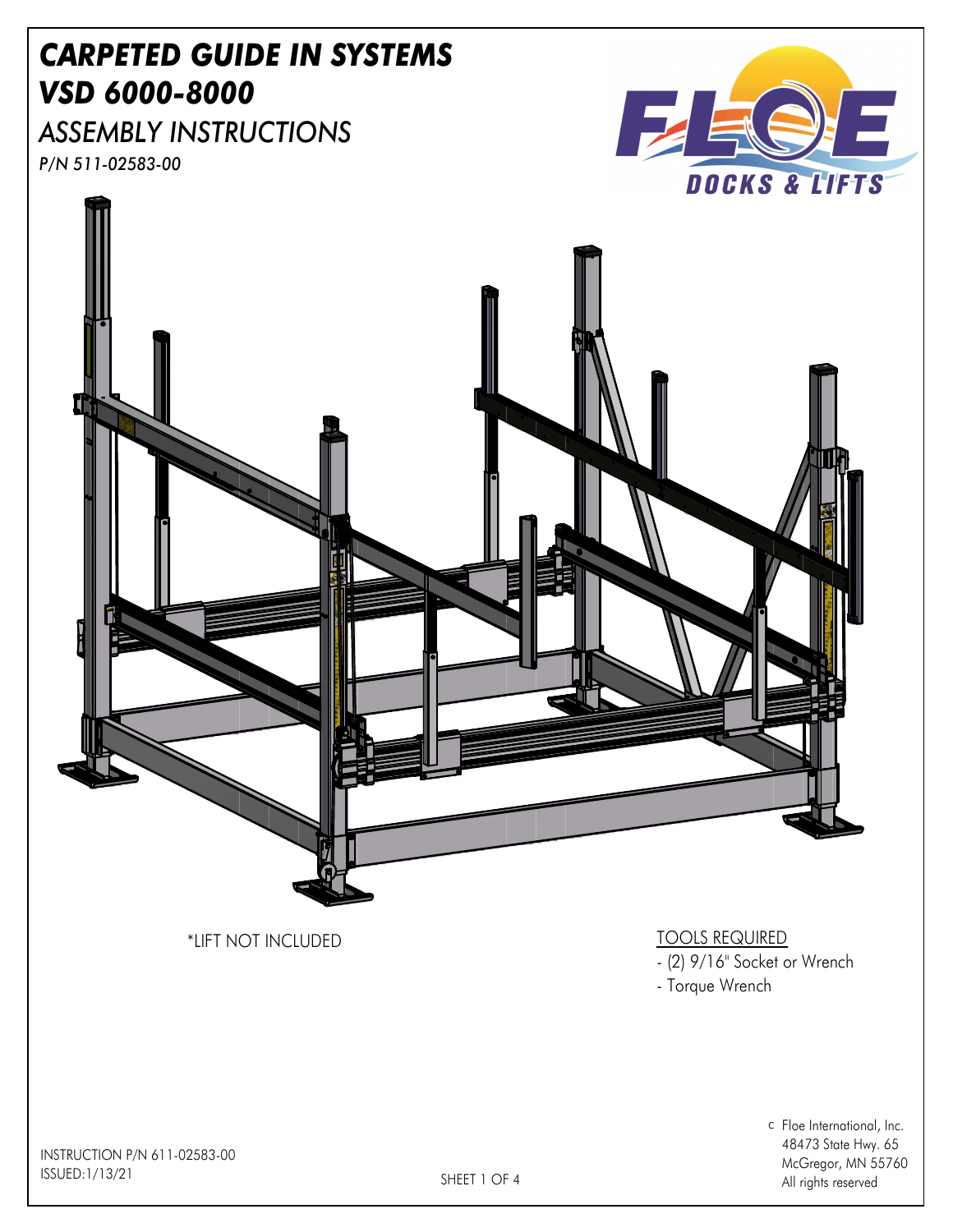## CARPETED GUIDE IN SYSTEMS VSD 6000-8000

ASSEMBLY INSTRUCTIONS P/N 511-02583-00





- Torque Wrench

c Floe International, Inc. 48473 State Hwy. 65 McGregor, MN 55760 All rights reserved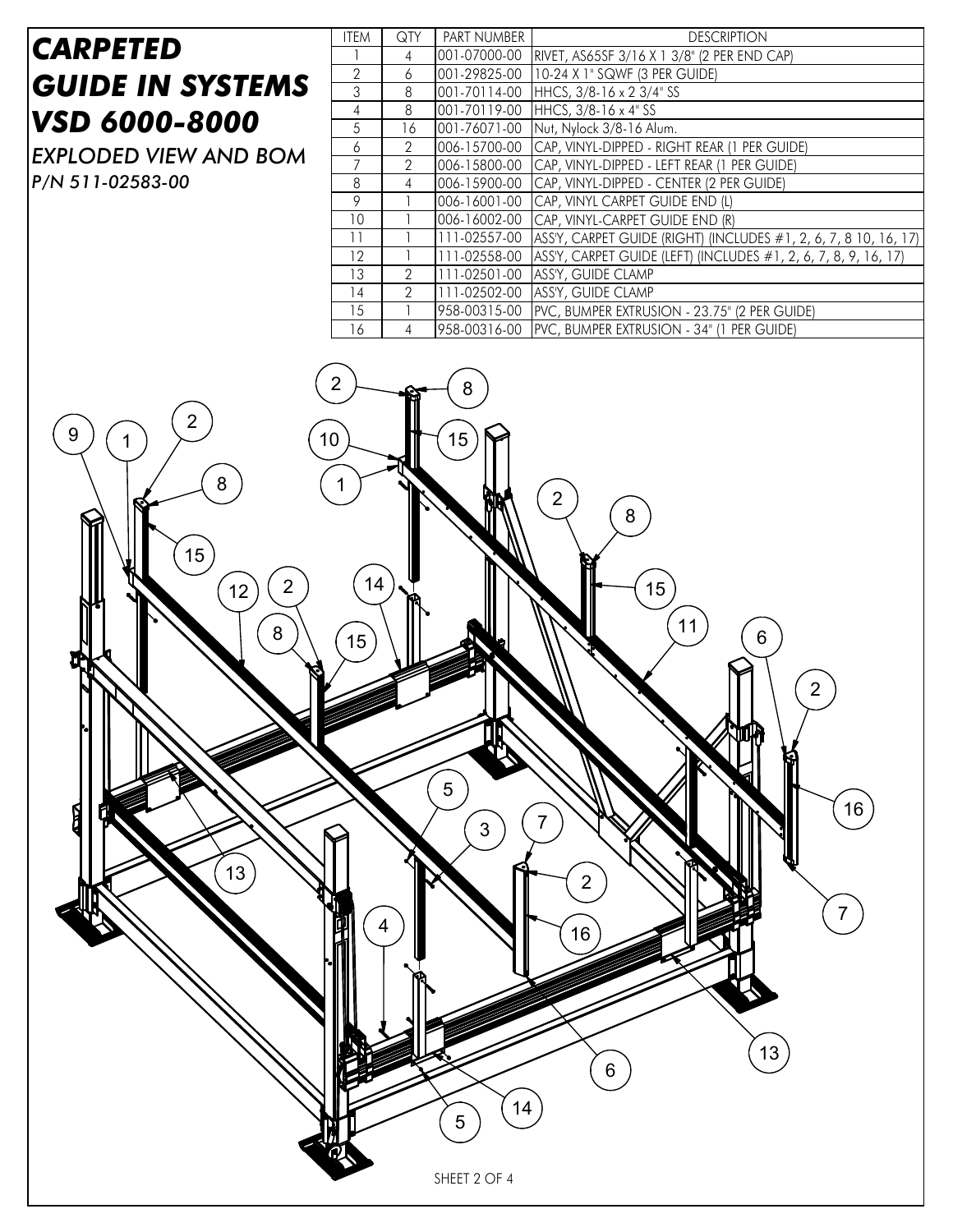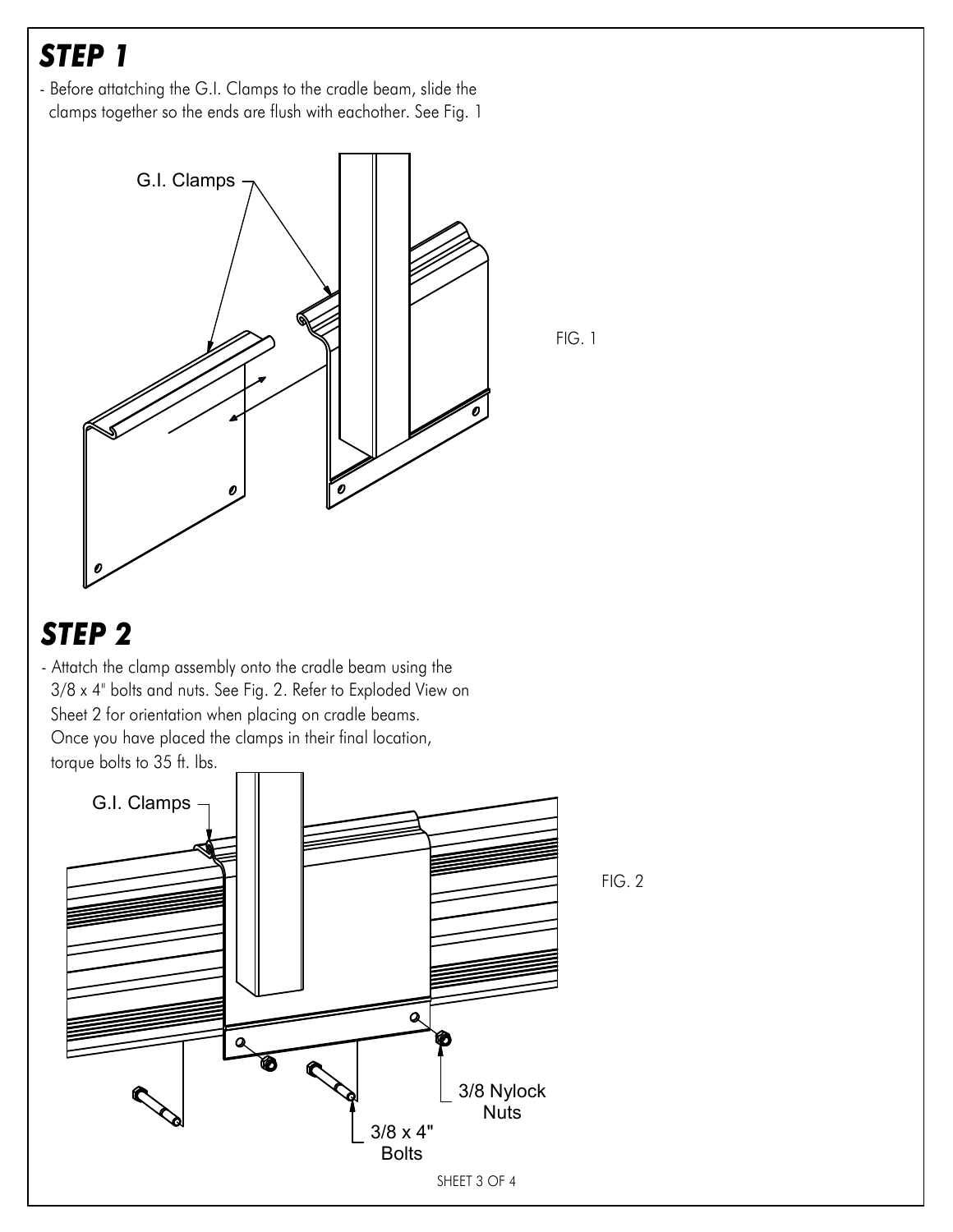## STEP 1

- Before attatching the G.I. Clamps to the cradle beam, slide the clamps together so the ends are flush with eachother. See Fig. 1



FIG. 1

STEP 2

- Attatch the clamp assembly onto the cradle beam using the 3/8 x 4" bolts and nuts. See Fig. 2. Refer to Exploded View on Sheet 2 for orientation when placing on cradle beams. Once you have placed the clamps in their final location, torque bolts to 35 ft. lbs.